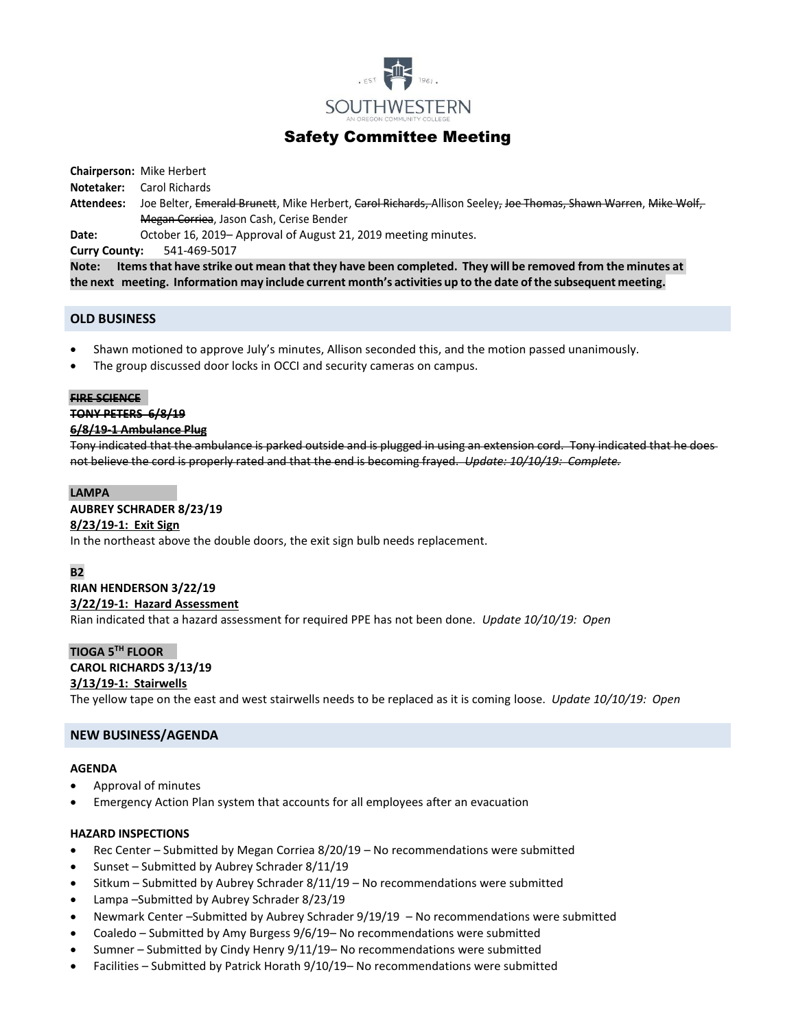

# Safety Committee Meeting

**Chairperson:** Mike Herbert

- **Notetaker:** Carol Richards
- **Attendees:** Joe Belter, Emerald Brunett, Mike Herbert, Carol Richards, Allison Seeley, Joe Thomas, Shawn Warren, Mike Wolf, Megan Corriea, Jason Cash, Cerise Bender

**Date:** October 16, 2019– Approval of August 21, 2019 meeting minutes.

**Curry County:** 541-469-5017

Note: Items that have strike out mean that they have been completed. They will be removed from the minutes at **the next meeting. Information may include current month's activities up to the date ofthe subsequent meeting.**

# **OLD BUSINESS**

- Shawn motioned to approve July's minutes, Allison seconded this, and the motion passed unanimously.
- The group discussed door locks in OCCI and security cameras on campus.

#### **FIRE SCIENCE**

### **TONY PETERS 6/8/19**

### **6/8/19-1 Ambulance Plug**

Tony indicated that the ambulance is parked outside and is plugged in using an extension cord. Tony indicated that he does not believe the cord is properly rated and that the end is becoming frayed. *Update: 10/10/19: Complete.*

# **LAMPA**

# **AUBREY SCHRADER 8/23/19**

# **8/23/19-1: Exit Sign**

In the northeast above the double doors, the exit sign bulb needs replacement.

# **B2**

# **RIAN HENDERSON 3/22/19 3/22/19-1: Hazard Assessment**

Rian indicated that a hazard assessment for required PPE has not been done. *Update 10/10/19: Open*

# **TIOGA 5TH FLOOR**

# **CAROL RICHARDS 3/13/19**

# **3/13/19-1: Stairwells**

The yellow tape on the east and west stairwells needs to be replaced as it is coming loose. *Update 10/10/19: Open*

# **NEW BUSINESS/AGENDA**

### **AGENDA**

- Approval of minutes
- Emergency Action Plan system that accounts for all employees after an evacuation

### **HAZARD INSPECTIONS**

- Rec Center Submitted by Megan Corriea 8/20/19 No recommendations were submitted
- Sunset Submitted by Aubrey Schrader 8/11/19
- Sitkum Submitted by Aubrey Schrader 8/11/19 No recommendations were submitted
- Lampa –Submitted by Aubrey Schrader 8/23/19
- Newmark Center –Submitted by Aubrey Schrader 9/19/19 No recommendations were submitted
- Coaledo Submitted by Amy Burgess 9/6/19– No recommendations were submitted
- Sumner Submitted by Cindy Henry 9/11/19– No recommendations were submitted
- Facilities Submitted by Patrick Horath 9/10/19– No recommendations were submitted